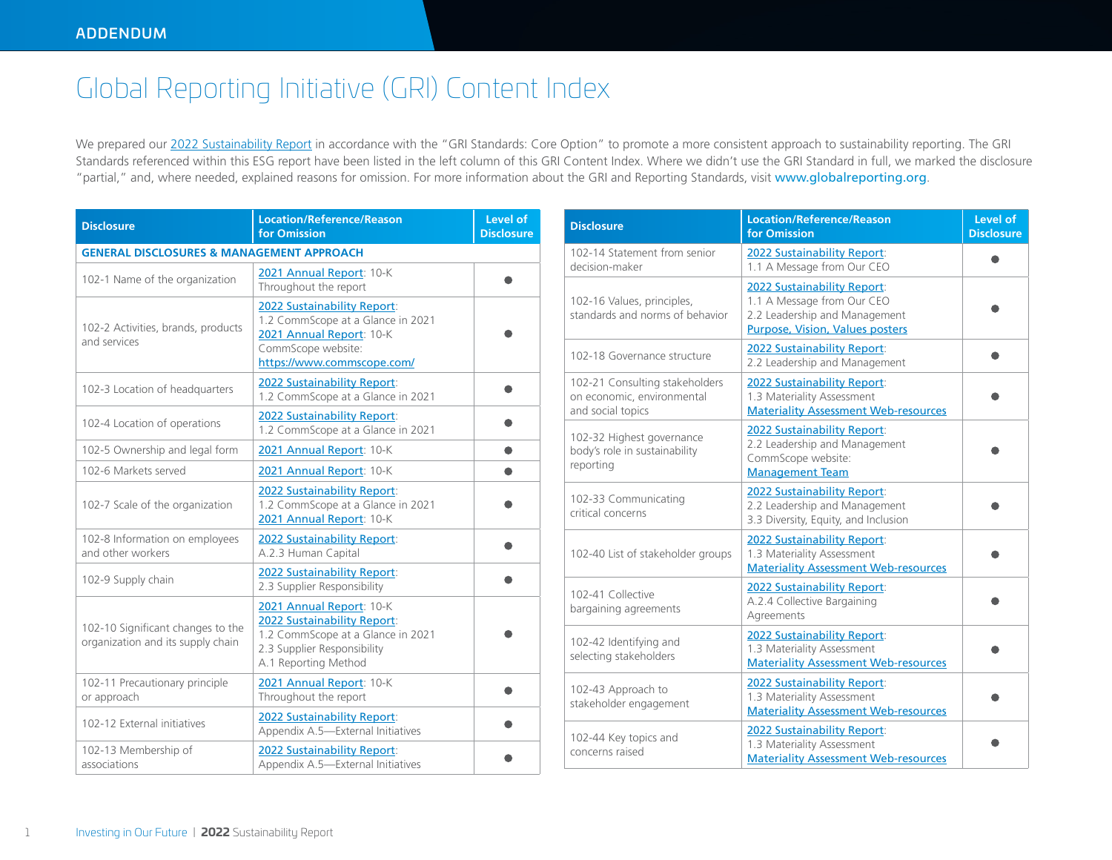## Global Reporting Initiative (GRI) Content Index

We prepared our [2022 Sustainability Report](https://www.commscope.com/globalassets/digizuite/947235-2022-sustainability-report.pdf) in accordance with the "GRI Standards: Core Option" to promote a more consistent approach to sustainability reporting. The GRI Standards referenced within this ESG report have been listed in the left column of this GRI Content Index. Where we didn't use the GRI Standard in full, we marked the disclosure "partial," and, where needed, explained reasons for omission. For more information about the GRI and Reporting Standards, visit www.globalreporting.org.

| <b>Disclosure</b>                                                      | <b>Location/Reference/Reason</b><br>for Omission                                                                                                        | Level of<br><b>Disclosure</b> |
|------------------------------------------------------------------------|---------------------------------------------------------------------------------------------------------------------------------------------------------|-------------------------------|
| <b>GENERAL DISCLOSURES &amp; MANAGEMENT APPROACH</b>                   |                                                                                                                                                         |                               |
| 102-1 Name of the organization                                         | 2021 Annual Report: 10-K<br>Throughout the report                                                                                                       |                               |
| 102-2 Activities, brands, products<br>and services                     | <b>2022 Sustainability Report:</b><br>1.2 CommScope at a Glance in 2021<br>2021 Annual Report: 10-K<br>CommScope website:<br>https://www.commscope.com/ |                               |
| 102-3 Location of headquarters                                         | 2022 Sustainability Report:<br>1.2 CommScope at a Glance in 2021                                                                                        |                               |
| 102-4 Location of operations                                           | 2022 Sustainability Report:<br>1.2 CommScope at a Glance in 2021                                                                                        |                               |
| 102-5 Ownership and legal form                                         | 2021 Annual Report: 10-K                                                                                                                                |                               |
| 102-6 Markets served                                                   | 2021 Annual Report: 10-K                                                                                                                                |                               |
| 102-7 Scale of the organization                                        | 2022 Sustainability Report:<br>1.2 CommScope at a Glance in 2021<br>2021 Annual Report: 10-K                                                            |                               |
| 102-8 Information on employees<br>and other workers                    | 2022 Sustainability Report:<br>A.2.3 Human Capital                                                                                                      |                               |
| 102-9 Supply chain                                                     | 2022 Sustainability Report:<br>2.3 Supplier Responsibility                                                                                              |                               |
| 102-10 Significant changes to the<br>organization and its supply chain | 2021 Annual Report: 10-K<br>2022 Sustainability Report:<br>1.2 CommScope at a Glance in 2021<br>2.3 Supplier Responsibility<br>A.1 Reporting Method     |                               |
| 102-11 Precautionary principle<br>or approach                          | 2021 Annual Report: 10-K<br>Throughout the report                                                                                                       |                               |
| 102-12 External initiatives                                            | 2022 Sustainability Report:<br>Appendix A.5-External Initiatives                                                                                        |                               |
| 102-13 Membership of<br>associations                                   | 2022 Sustainability Report:<br>Appendix A.5-External Initiatives                                                                                        |                               |

| <b>Disclosure</b>                                                                 | <b>Location/Reference/Reason</b><br>for Omission                                                                                     | Level of<br><b>Disclosure</b> |
|-----------------------------------------------------------------------------------|--------------------------------------------------------------------------------------------------------------------------------------|-------------------------------|
| 102-14 Statement from senior<br>decision-maker                                    | 2022 Sustainability Report:<br>1.1 A Message from Our CEO                                                                            |                               |
| 102-16 Values, principles,<br>standards and norms of behavior                     | 2022 Sustainability Report:<br>1.1 A Message from Our CEO<br>2.2 Leadership and Management<br><b>Purpose, Vision, Values posters</b> |                               |
| 102-18 Governance structure                                                       | 2022 Sustainability Report:<br>2.2 Leadership and Management                                                                         |                               |
| 102-21 Consulting stakeholders<br>on economic, environmental<br>and social topics | 2022 Sustainability Report:<br>1.3 Materiality Assessment<br><b>Materiality Assessment Web-resources</b>                             |                               |
| 102-32 Highest governance<br>body's role in sustainability<br>reporting           | 2022 Sustainability Report:<br>2.2 Leadership and Management<br>CommScope website:<br><b>Management Team</b>                         |                               |
| 102-33 Communicating<br>critical concerns                                         | <b>2022 Sustainability Report:</b><br>2.2 Leadership and Management<br>3.3 Diversity, Equity, and Inclusion                          |                               |
| 102-40 List of stakeholder groups                                                 | 2022 Sustainability Report:<br>1.3 Materiality Assessment<br><b>Materiality Assessment Web-resources</b>                             |                               |
| 102-41 Collective<br>bargaining agreements                                        | <b>2022 Sustainability Report:</b><br>A.2.4 Collective Bargaining<br>Agreements                                                      |                               |
| 102-42 Identifying and<br>selecting stakeholders                                  | 2022 Sustainability Report:<br>1.3 Materiality Assessment<br><b>Materiality Assessment Web-resources</b>                             |                               |
| 102-43 Approach to<br>stakeholder engagement                                      | 2022 Sustainability Report:<br>1.3 Materiality Assessment<br><b>Materiality Assessment Web-resources</b>                             |                               |
| 102-44 Key topics and<br>concerns raised                                          | 2022 Sustainability Report:<br>1.3 Materiality Assessment<br><b>Materiality Assessment Web-resources</b>                             |                               |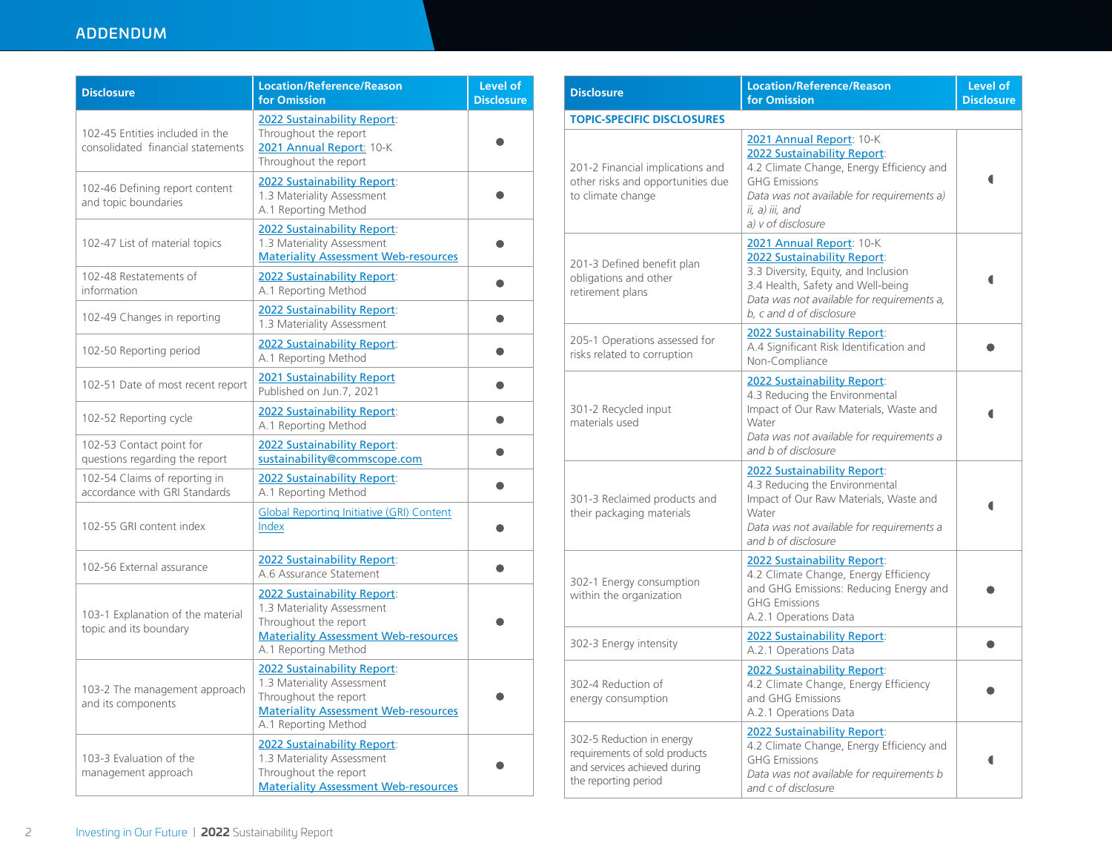## ADDENDUM

| <b>Disclosure</b>                                                    | <b>Location/Reference/Reason</b><br>for Omission                                                                                                          | Level of<br><b>Disclosure</b> |
|----------------------------------------------------------------------|-----------------------------------------------------------------------------------------------------------------------------------------------------------|-------------------------------|
| 102-45 Entities included in the<br>consolidated financial statements | 2022 Sustainability Report:<br>Throughout the report<br>2021 Annual Report: 10-K<br>Throughout the report                                                 |                               |
| 102-46 Defining report content<br>and topic boundaries               | <b>2022 Sustainability Report:</b><br>1.3 Materiality Assessment<br>A.1 Reporting Method                                                                  |                               |
| 102-47 List of material topics                                       | <b>2022 Sustainability Report:</b><br>1.3 Materiality Assessment<br><b>Materiality Assessment Web-resources</b>                                           |                               |
| 102-48 Restatements of<br>information                                | 2022 Sustainability Report:<br>A.1 Reporting Method                                                                                                       |                               |
| 102-49 Changes in reporting                                          | 2022 Sustainability Report:<br>1.3 Materiality Assessment                                                                                                 |                               |
| 102-50 Reporting period                                              | 2022 Sustainability Report:<br>A.1 Reporting Method                                                                                                       |                               |
| 102-51 Date of most recent report                                    | <b>2021 Sustainability Report</b><br>Published on Jun.7, 2021                                                                                             |                               |
| 102-52 Reporting cycle                                               | <b>2022 Sustainability Report:</b><br>A.1 Reporting Method                                                                                                |                               |
| 102-53 Contact point for<br>questions regarding the report           | <b>2022 Sustainability Report:</b><br>sustainability@commscope.com                                                                                        |                               |
| 102-54 Claims of reporting in<br>accordance with GRI Standards       | 2022 Sustainability Report:<br>A.1 Reporting Method                                                                                                       |                               |
| 102-55 GRI content index                                             | <b>Global Reporting Initiative (GRI) Content</b><br>Index                                                                                                 |                               |
| 102-56 External assurance                                            | <b>2022 Sustainability Report:</b><br>A.6 Assurance Statement                                                                                             |                               |
| 103-1 Explanation of the material<br>topic and its boundary          | 2022 Sustainability Report:<br>1.3 Materiality Assessment<br>Throughout the report<br><b>Materiality Assessment Web-resources</b><br>A.1 Reporting Method |                               |
| 103-2 The management approach<br>and its components                  | 2022 Sustainability Report:<br>1.3 Materiality Assessment<br>Throughout the report<br><b>Materiality Assessment Web-resources</b><br>A.1 Reporting Method |                               |
| 103-3 Evaluation of the<br>management approach                       | 2022 Sustainability Report:<br>1.3 Materiality Assessment<br>Throughout the report<br><b>Materiality Assessment Web-resources</b>                         |                               |

| <b>Disclosure</b>                                                                                                  | <b>Location/Reference/Reason</b><br>for Omission                                                                                                                                                                    | Level of<br><b>Disclosure</b> |
|--------------------------------------------------------------------------------------------------------------------|---------------------------------------------------------------------------------------------------------------------------------------------------------------------------------------------------------------------|-------------------------------|
| <b>TOPIC-SPECIFIC DISCLOSURES</b>                                                                                  |                                                                                                                                                                                                                     |                               |
| 201-2 Financial implications and<br>other risks and opportunities due<br>to climate change                         | 2021 Annual Report: 10-K<br>2022 Sustainability Report:<br>4.2 Climate Change, Energy Efficiency and<br><b>GHG Emissions</b><br>Data was not available for requirements a)<br>ii, a) iii, and<br>a) v of disclosure |                               |
| 201-3 Defined benefit plan<br>obligations and other<br>retirement plans                                            | 2021 Annual Report: 10-K<br>2022 Sustainability Report:<br>3.3 Diversity, Equity, and Inclusion<br>3.4 Health, Safety and Well-being<br>Data was not available for requirements a,<br>b. c and d of disclosure      |                               |
| 205-1 Operations assessed for<br>risks related to corruption                                                       | <b>2022 Sustainability Report:</b><br>A.4 Significant Risk Identification and<br>Non-Compliance                                                                                                                     |                               |
| 301-2 Recycled input<br>materials used                                                                             | 2022 Sustainability Report:<br>4.3 Reducing the Environmental<br>Impact of Our Raw Materials, Waste and<br>Water<br>Data was not available for requirements a<br>and b of disclosure                                |                               |
| 301-3 Reclaimed products and<br>their packaging materials                                                          | 2022 Sustainability Report:<br>4.3 Reducing the Environmental<br>Impact of Our Raw Materials, Waste and<br>Water<br>Data was not available for requirements a<br>and b of disclosure                                |                               |
| 302-1 Energy consumption<br>within the organization                                                                | 2022 Sustainability Report:<br>4.2 Climate Change, Energy Efficiency<br>and GHG Emissions: Reducing Energy and<br><b>GHG Emissions</b><br>A.2.1 Operations Data                                                     |                               |
| 302-3 Energy intensity                                                                                             | 2022 Sustainability Report:<br>A.2.1 Operations Data                                                                                                                                                                |                               |
| 302-4 Reduction of<br>energy consumption                                                                           | 2022 Sustainability Report:<br>4.2 Climate Change, Energy Efficiency<br>and GHG Emissions<br>A.2.1 Operations Data                                                                                                  |                               |
| 302-5 Reduction in energy<br>requirements of sold products<br>and services achieved during<br>the reporting period | 2022 Sustainability Report:<br>4.2 Climate Change, Energy Efficiency and<br><b>GHG Emissions</b><br>Data was not available for requirements b<br>and c of disclosure                                                |                               |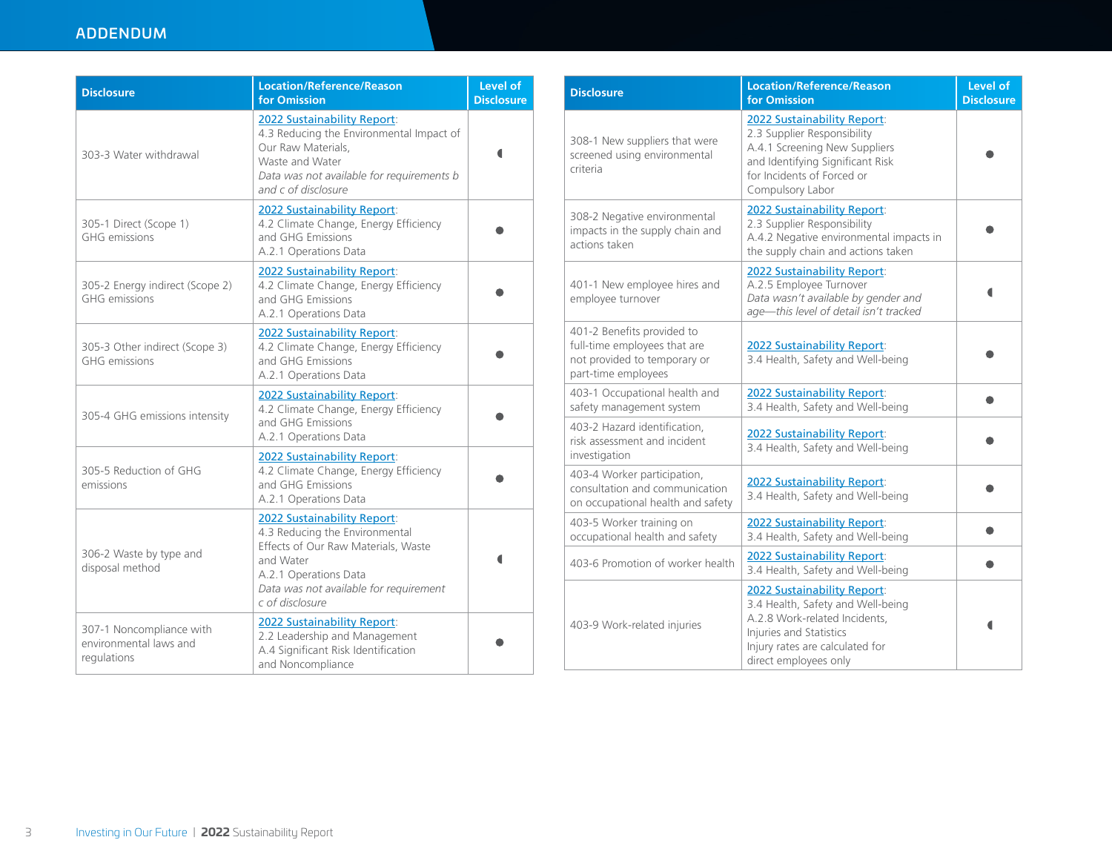## ADDENDUM

| <b>Disclosure</b>                                                 | <b>Location/Reference/Reason</b><br>for Omission                                                                                                                                                        | Level of<br><b>Disclosure</b> |
|-------------------------------------------------------------------|---------------------------------------------------------------------------------------------------------------------------------------------------------------------------------------------------------|-------------------------------|
| 303-3 Water withdrawal                                            | <b>2022 Sustainability Report:</b><br>4.3 Reducing the Environmental Impact of<br>Our Raw Materials.<br>Waste and Water<br>Data was not available for requirements b<br>and c of disclosure             |                               |
| 305-1 Direct (Scope 1)<br><b>GHG</b> emissions                    | 2022 Sustainability Report:<br>4.2 Climate Change, Energy Efficiency<br>and GHG Emissions<br>A.2.1 Operations Data                                                                                      |                               |
| 305-2 Energy indirect (Scope 2)<br><b>GHG</b> emissions           | 2022 Sustainability Report:<br>4.2 Climate Change, Energy Efficiency<br>and GHG Emissions<br>A.2.1 Operations Data                                                                                      |                               |
| 305-3 Other indirect (Scope 3)<br><b>GHG</b> emissions            | 2022 Sustainability Report:<br>4.2 Climate Change, Energy Efficiency<br>and GHG Emissions<br>A.2.1 Operations Data                                                                                      |                               |
| 305-4 GHG emissions intensity                                     | 2022 Sustainability Report:<br>4.2 Climate Change, Energy Efficiency<br>and GHG Emissions<br>A.2.1 Operations Data                                                                                      |                               |
| 305-5 Reduction of GHG<br>emissions                               | 2022 Sustainability Report:<br>4.2 Climate Change, Energy Efficiency<br>and GHG Emissions<br>A.2.1 Operations Data                                                                                      |                               |
| 306-2 Waste by type and<br>disposal method                        | 2022 Sustainability Report:<br>4.3 Reducing the Environmental<br>Effects of Our Raw Materials, Waste<br>and Water<br>A.2.1 Operations Data<br>Data was not available for requirement<br>c of disclosure |                               |
| 307-1 Noncompliance with<br>environmental laws and<br>regulations | <b>2022 Sustainability Report:</b><br>2.2 Leadership and Management<br>A.4 Significant Risk Identification<br>and Noncompliance                                                                         |                               |

| <b>Disclosure</b>                                                                                                 | <b>Location/Reference/Reason</b><br>for Omission                                                                                                                                         | Level of<br><b>Disclosure</b> |
|-------------------------------------------------------------------------------------------------------------------|------------------------------------------------------------------------------------------------------------------------------------------------------------------------------------------|-------------------------------|
| 308-1 New suppliers that were<br>screened using environmental<br>criteria                                         | <b>2022 Sustainability Report:</b><br>2.3 Supplier Responsibility<br>A.4.1 Screening New Suppliers<br>and Identifying Significant Risk<br>for Incidents of Forced or<br>Compulsory Labor |                               |
| 308-2 Negative environmental<br>impacts in the supply chain and<br>actions taken                                  | 2022 Sustainability Report:<br>2.3 Supplier Responsibility<br>A.4.2 Negative environmental impacts in<br>the supply chain and actions taken                                              |                               |
| 401-1 New employee hires and<br>employee turnover                                                                 | 2022 Sustainability Report:<br>A.2.5 Employee Turnover<br>Data wasn't available by gender and<br>age-this level of detail isn't tracked                                                  |                               |
| 401-2 Benefits provided to<br>full-time employees that are<br>not provided to temporary or<br>part-time employees | 2022 Sustainability Report:<br>3.4 Health, Safety and Well-being                                                                                                                         |                               |
| 403-1 Occupational health and<br>safety management system                                                         | 2022 Sustainability Report:<br>3.4 Health, Safety and Well-being                                                                                                                         |                               |
| 403-2 Hazard identification,<br>risk assessment and incident<br>investigation                                     | 2022 Sustainability Report:<br>3.4 Health, Safety and Well-being                                                                                                                         |                               |
| 403-4 Worker participation,<br>consultation and communication<br>on occupational health and safety                | 2022 Sustainability Report:<br>3.4 Health, Safety and Well-being                                                                                                                         |                               |
| 403-5 Worker training on<br>occupational health and safety                                                        | 2022 Sustainability Report:<br>3.4 Health, Safety and Well-being                                                                                                                         |                               |
| 403-6 Promotion of worker health                                                                                  | 2022 Sustainability Report:<br>3.4 Health, Safety and Well-being                                                                                                                         |                               |
| 403-9 Work-related injuries                                                                                       | 2022 Sustainability Report:<br>3.4 Health, Safety and Well-being<br>A.2.8 Work-related Incidents,<br>Injuries and Statistics<br>Injury rates are calculated for<br>direct employees only |                               |